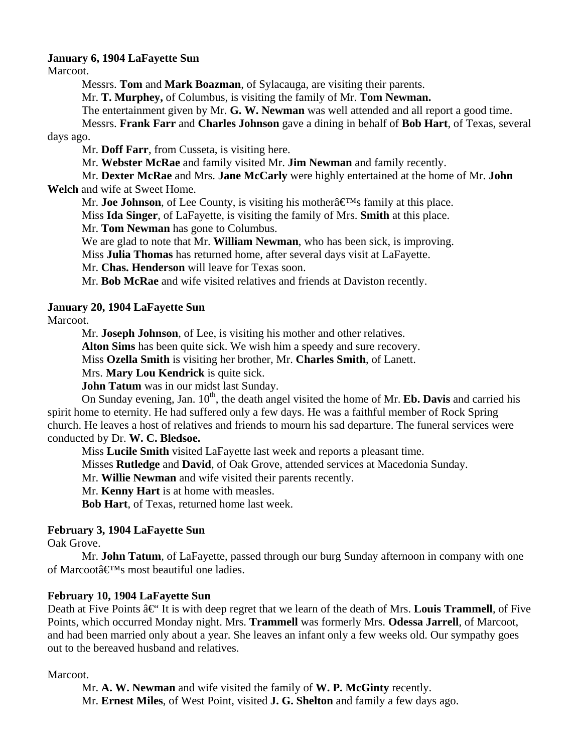## **January 6, 1904 LaFayette Sun**

Marcoot.

Messrs. **Tom** and **Mark Boazman**, of Sylacauga, are visiting their parents.

Mr. **T. Murphey,** of Columbus, is visiting the family of Mr. **Tom Newman.**

The entertainment given by Mr. **G. W. Newman** was well attended and all report a good time.

 Messrs. **Frank Farr** and **Charles Johnson** gave a dining in behalf of **Bob Hart**, of Texas, several days ago.

Mr. **Doff Farr**, from Cusseta, is visiting here.

Mr. **Webster McRae** and family visited Mr. **Jim Newman** and family recently.

 Mr. **Dexter McRae** and Mrs. **Jane McCarly** were highly entertained at the home of Mr. **John Welch** and wife at Sweet Home.

Mr. **Joe Johnson**, of Lee County, is visiting his mother  $\hat{\mathbf{H}}^{\text{M}}$ s family at this place.

Miss **Ida Singer**, of LaFayette, is visiting the family of Mrs. **Smith** at this place.

Mr. **Tom Newman** has gone to Columbus.

We are glad to note that Mr. **William Newman**, who has been sick, is improving.

Miss **Julia Thomas** has returned home, after several days visit at LaFayette.

Mr. **Chas. Henderson** will leave for Texas soon.

Mr. **Bob McRae** and wife visited relatives and friends at Daviston recently.

# **January 20, 1904 LaFayette Sun**

Marcoot.

Mr. **Joseph Johnson**, of Lee, is visiting his mother and other relatives.

**Alton Sims** has been quite sick. We wish him a speedy and sure recovery.

Miss **Ozella Smith** is visiting her brother, Mr. **Charles Smith**, of Lanett.

Mrs. **Mary Lou Kendrick** is quite sick.

**John Tatum** was in our midst last Sunday.

On Sunday evening, Jan.  $10<sup>th</sup>$ , the death angel visited the home of Mr. **Eb. Davis** and carried his spirit home to eternity. He had suffered only a few days. He was a faithful member of Rock Spring church. He leaves a host of relatives and friends to mourn his sad departure. The funeral services were conducted by Dr. **W. C. Bledsoe.**

Miss **Lucile Smith** visited LaFayette last week and reports a pleasant time.

Misses **Rutledge** and **David**, of Oak Grove, attended services at Macedonia Sunday.

Mr. **Willie Newman** and wife visited their parents recently.

Mr. **Kenny Hart** is at home with measles.

**Bob Hart**, of Texas, returned home last week.

## **February 3, 1904 LaFayette Sun**

Oak Grove.

 Mr. **John Tatum**, of LaFayette, passed through our burg Sunday afternoon in company with one of Marcoot $\hat{\mathbf{a}} \in \mathbb{M}$ s most beautiful one ladies.

## **February 10, 1904 LaFayette Sun**

Death at Five Points  $\hat{a} \in \mathcal{C}$  It is with deep regret that we learn of the death of Mrs. **Louis Trammell**, of Five Points, which occurred Monday night. Mrs. **Trammell** was formerly Mrs. **Odessa Jarrell**, of Marcoot, and had been married only about a year. She leaves an infant only a few weeks old. Our sympathy goes out to the bereaved husband and relatives.

## Marcoot.

 Mr. **A. W. Newman** and wife visited the family of **W. P. McGinty** recently. Mr. **Ernest Miles**, of West Point, visited **J. G. Shelton** and family a few days ago.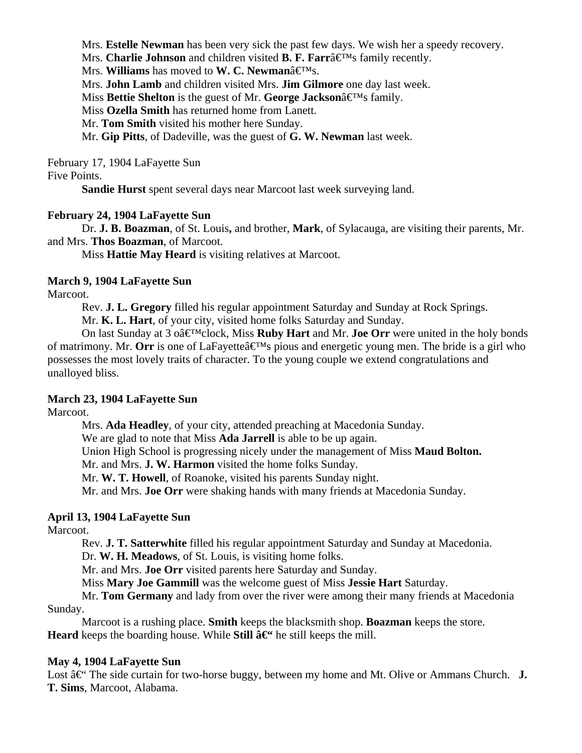Mrs. **Estelle Newman** has been very sick the past few days. We wish her a speedy recovery.

Mrs. **Charlie Johnson** and children visited **B. F. Farr** $\hat{a} \in M$ s family recently.

Mrs. **Williams** has moved to **W. C. Newman**â€<sup>M</sup>s.

Mrs. **John Lamb** and children visited Mrs. **Jim Gilmore** one day last week.

Miss **Bettie Shelton** is the guest of Mr. **George Jackson** $\hat{\mathbf{z}} \in \mathbb{M}$ s family.

Miss **Ozella Smith** has returned home from Lanett.

Mr. **Tom Smith** visited his mother here Sunday.

Mr. **Gip Pitts**, of Dadeville, was the guest of **G. W. Newman** last week.

February 17, 1904 LaFayette Sun

#### Five Points.

**Sandie Hurst** spent several days near Marcoot last week surveying land.

## **February 24, 1904 LaFayette Sun**

 Dr. **J. B. Boazman**, of St. Louis**,** and brother, **Mark**, of Sylacauga, are visiting their parents, Mr. and Mrs. **Thos Boazman**, of Marcoot.

Miss **Hattie May Heard** is visiting relatives at Marcoot.

## **March 9, 1904 LaFayette Sun**

Marcoot.

Rev. **J. L. Gregory** filled his regular appointment Saturday and Sunday at Rock Springs.

Mr. **K. L. Hart**, of your city, visited home folks Saturday and Sunday.

On last Sunday at 3 o $\hat{\mathbf{a}} \in \mathbb{M}$ clock, Miss **Ruby Hart** and Mr. **Joe Orr** were united in the holy bonds of matrimony. Mr. **Orr** is one of LaFayette  $\hat{\mathbf{a}} \in \mathbb{N}$  pious and energetic young men. The bride is a girl who possesses the most lovely traits of character. To the young couple we extend congratulations and unalloyed bliss.

## **March 23, 1904 LaFayette Sun**

Marcoot.

 Mrs. **Ada Headley**, of your city, attended preaching at Macedonia Sunday. We are glad to note that Miss **Ada Jarrell** is able to be up again. Union High School is progressing nicely under the management of Miss **Maud Bolton.** Mr. and Mrs. **J. W. Harmon** visited the home folks Sunday. Mr. **W. T. Howell**, of Roanoke, visited his parents Sunday night. Mr. and Mrs. **Joe Orr** were shaking hands with many friends at Macedonia Sunday.

# **April 13, 1904 LaFayette Sun**

Marcoot.

Rev. **J. T. Satterwhite** filled his regular appointment Saturday and Sunday at Macedonia.

Dr. **W. H. Meadows**, of St. Louis, is visiting home folks.

Mr. and Mrs. **Joe Orr** visited parents here Saturday and Sunday.

Miss **Mary Joe Gammill** was the welcome guest of Miss **Jessie Hart** Saturday.

 Mr. **Tom Germany** and lady from over the river were among their many friends at Macedonia Sunday.

 Marcoot is a rushing place. **Smith** keeps the blacksmith shop. **Boazman** keeps the store. **Heard** keeps the boarding house. While **Still**  $\hat{a} \in \text{Set}$  he still keeps the mill.

## **May 4, 1904 LaFayette Sun**

Lost  $\hat{a} \in \hat{C}$  The side curtain for two-horse buggy, between my home and Mt. Olive or Ammans Church. **J. T. Sims**, Marcoot, Alabama.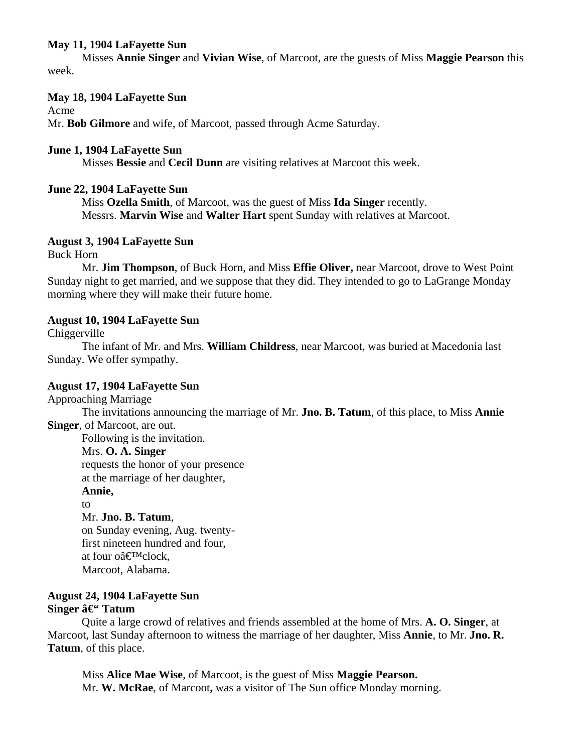# **May 11, 1904 LaFayette Sun**

 Misses **Annie Singer** and **Vivian Wise**, of Marcoot, are the guests of Miss **Maggie Pearson** this week.

# **May 18, 1904 LaFayette Sun**

Acme

Mr. **Bob Gilmore** and wife, of Marcoot, passed through Acme Saturday.

# **June 1, 1904 LaFayette Sun**

Misses **Bessie** and **Cecil Dunn** are visiting relatives at Marcoot this week.

# **June 22, 1904 LaFayette Sun**

Miss **Ozella Smith**, of Marcoot, was the guest of Miss **Ida Singer** recently. Messrs. **Marvin Wise** and **Walter Hart** spent Sunday with relatives at Marcoot.

# **August 3, 1904 LaFayette Sun**

Buck Horn

 Mr. **Jim Thompson**, of Buck Horn, and Miss **Effie Oliver,** near Marcoot, drove to West Point Sunday night to get married, and we suppose that they did. They intended to go to LaGrange Monday morning where they will make their future home.

# **August 10, 1904 LaFayette Sun**

Chiggerville

The infant of Mr. and Mrs. **William Childress**, near Marcoot, was buried at Macedonia last Sunday. We offer sympathy.

## **August 17, 1904 LaFayette Sun**

Approaching Marriage

 The invitations announcing the marriage of Mr. **Jno. B. Tatum**, of this place, to Miss **Annie Singer**, of Marcoot, are out.

Following is the invitation.

# Mrs. **O. A. Singer**

requests the honor of your presence

at the marriage of her daughter,

## **Annie,**

to Mr. **Jno. B. Tatum**, on Sunday evening, Aug. twenty first nineteen hundred and four, at four o $\hat{a} \in \mathbb{R}^M$ clock, Marcoot, Alabama.

# **August 24, 1904 LaFayette Sun Singer â**<sup>€</sup>**Tatum**

 Quite a large crowd of relatives and friends assembled at the home of Mrs. **A. O. Singer**, at Marcoot, last Sunday afternoon to witness the marriage of her daughter, Miss **Annie**, to Mr. **Jno. R. Tatum**, of this place.

 Miss **Alice Mae Wise**, of Marcoot, is the guest of Miss **Maggie Pearson.** Mr. **W. McRae**, of Marcoot**,** was a visitor of The Sun office Monday morning.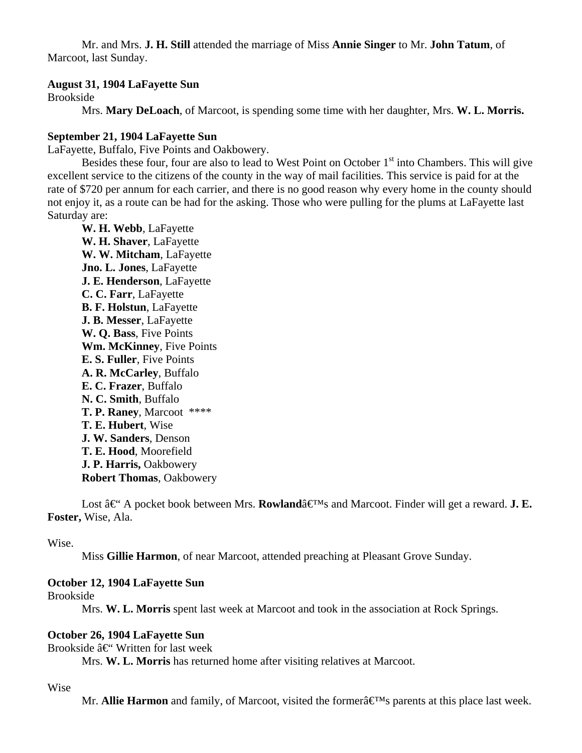Mr. and Mrs. **J. H. Still** attended the marriage of Miss **Annie Singer** to Mr. **John Tatum**, of Marcoot, last Sunday.

## **August 31, 1904 LaFayette Sun**

Brookside

Mrs. **Mary DeLoach**, of Marcoot, is spending some time with her daughter, Mrs. **W. L. Morris.**

#### **September 21, 1904 LaFayette Sun**

LaFayette, Buffalo, Five Points and Oakbowery.

Besides these four, four are also to lead to West Point on October  $1<sup>st</sup>$  into Chambers. This will give excellent service to the citizens of the county in the way of mail facilities. This service is paid for at the rate of \$720 per annum for each carrier, and there is no good reason why every home in the county should not enjoy it, as a route can be had for the asking. Those who were pulling for the plums at LaFayette last Saturday are:

 **W. H. Webb**, LaFayette **W. H. Shaver**, LaFayette **W. W. Mitcham**, LaFayette **Jno. L. Jones**, LaFayette **J. E. Henderson**, LaFayette **C. C. Farr**, LaFayette **B. F. Holstun**, LaFayette **J. B. Messer**, LaFayette **W. Q. Bass**, Five Points **Wm. McKinney**, Five Points **E. S. Fuller**, Five Points **A. R. McCarley**, Buffalo  **E. C. Frazer**, Buffalo **N. C. Smith**, Buffalo **T. P. Raney**, Marcoot \*\*\*\* **T. E. Hubert**, Wise **J. W. Sanders**, Denson **T. E. Hood**, Moorefield **J. P. Harris,** Oakbowery **Robert Thomas**, Oakbowery

Lost  $\hat{a} \in A$  pocket book between Mrs. **Rowland** $\hat{a} \in M$ s and Marcoot. Finder will get a reward. **J. E. Foster,** Wise, Ala.

Wise.

Miss **Gillie Harmon**, of near Marcoot, attended preaching at Pleasant Grove Sunday.

# **October 12, 1904 LaFayette Sun**

Brookside

Mrs. **W. L. Morris** spent last week at Marcoot and took in the association at Rock Springs.

#### **October 26, 1904 LaFayette Sun**

Brookside  $\hat{a} \in \mathcal{C}$  Written for last week

Mrs. **W. L. Morris** has returned home after visiting relatives at Marcoot.

#### Wise

Mr. **Allie Harmon** and family, of Marcoot, visited the formerâ€<sup>M</sup>s parents at this place last week.